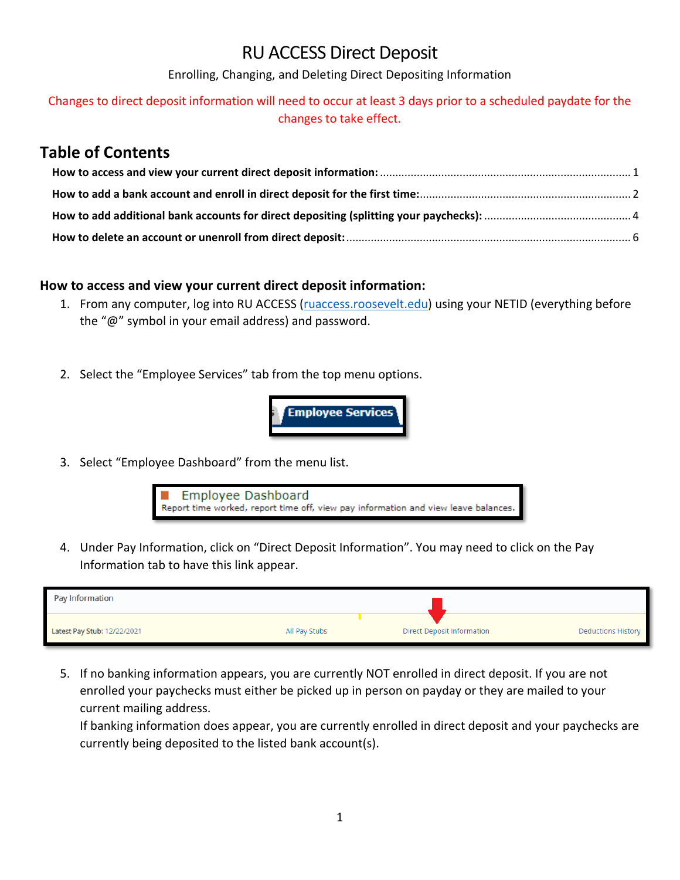# RU ACCESS Direct Deposit

Enrolling, Changing, and Deleting Direct Depositing Information

## Changes to direct deposit information will need to occur at least 3 days prior to a scheduled paydate for the changes to take effect.

## **Table of Contents**

#### <span id="page-0-0"></span>**How to access and view your current direct deposit information:**

- 1. From any computer, log into RU ACCESS (ruaccess.roosevelt.edu) using your NETID (everything before the "@" symbol in your email address) and password.
- 2. Select the "Employee Services" tab from the top menu options.



3. Select "Employee Dashboard" from the menu list.



4. Under Pay Information, click on "Direct Deposit Information". You may need to click on the Pay Information tab to have this link appear.

| Pay Information             |               |                                   |                           |
|-----------------------------|---------------|-----------------------------------|---------------------------|
| Latest Pay Stub: 12/22/2021 | All Pay Stubs | <b>Direct Deposit Information</b> | <b>Deductions History</b> |

5. If no banking information appears, you are currently NOT enrolled in direct deposit. If you are not enrolled your paychecks must either be picked up in person on payday or they are mailed to your current mailing address.

If banking information does appear, you are currently enrolled in direct deposit and your paychecks are currently being deposited to the listed bank account(s).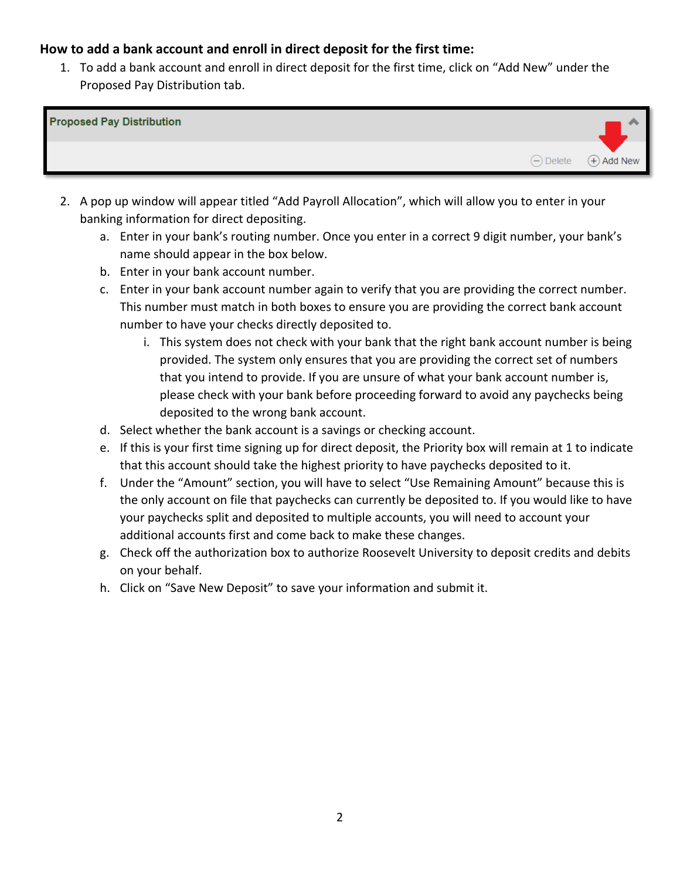## <span id="page-1-0"></span>**How to add a bank account and enroll in direct deposit for the first time:**

1. To add a bank account and enroll in direct deposit for the first time, click on "Add New" under the Proposed Pay Distribution tab.



- 2. A pop up window will appear titled "Add Payroll Allocation", which will allow you to enter in your banking information for direct depositing.
	- a. Enter in your bank's routing number. Once you enter in a correct 9 digit number, your bank's name should appear in the box below.
	- b. Enter in your bank account number.
	- c. Enter in your bank account number again to verify that you are providing the correct number. This number must match in both boxes to ensure you are providing the correct bank account number to have your checks directly deposited to.
		- i. This system does not check with your bank that the right bank account number is being provided. The system only ensures that you are providing the correct set of numbers that you intend to provide. If you are unsure of what your bank account number is, please check with your bank before proceeding forward to avoid any paychecks being deposited to the wrong bank account.
	- d. Select whether the bank account is a savings or checking account.
	- e. If this is your first time signing up for direct deposit, the Priority box will remain at 1 to indicate that this account should take the highest priority to have paychecks deposited to it.
	- f. Under the "Amount" section, you will have to select "Use Remaining Amount" because this is the only account on file that paychecks can currently be deposited to. If you would like to have your paychecks split and deposited to multiple accounts, you will need to account your additional accounts first and come back to make these changes.
	- g. Check off the authorization box to authorize Roosevelt University to deposit credits and debits on your behalf.
	- h. Click on "Save New Deposit" to save your information and submit it.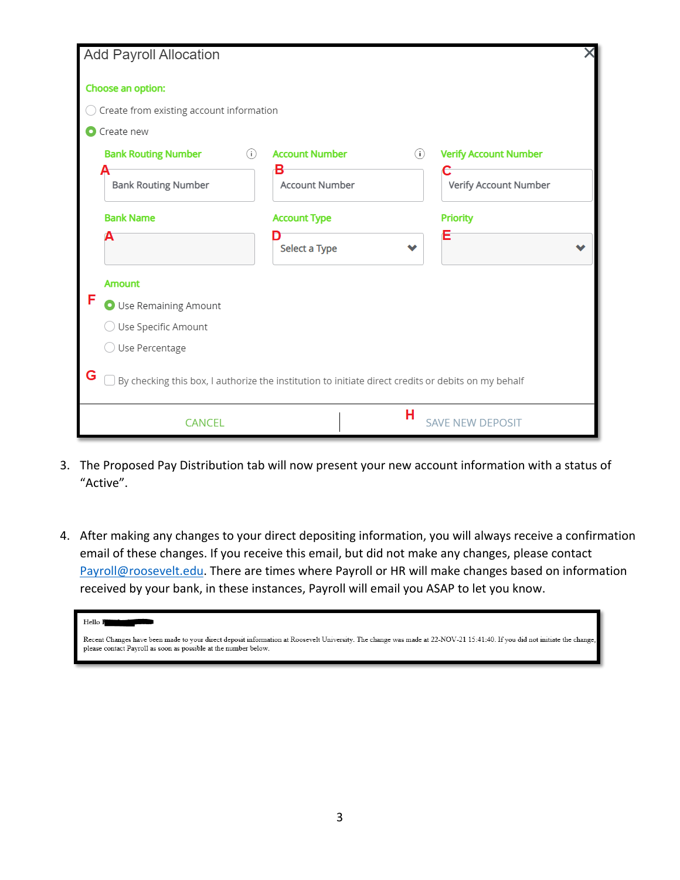| <b>Add Payroll Allocation</b>                                                                            |                              |                              |  |  |  |
|----------------------------------------------------------------------------------------------------------|------------------------------|------------------------------|--|--|--|
| Choose an option:                                                                                        |                              |                              |  |  |  |
| Create from existing account information                                                                 |                              |                              |  |  |  |
| Create new                                                                                               |                              |                              |  |  |  |
| <b>Bank Routing Number</b><br>(i)                                                                        | <b>Account Number</b><br>(i) | <b>Verify Account Number</b> |  |  |  |
| <b>Bank Routing Number</b>                                                                               | в<br><b>Account Number</b>   | Verify Account Number        |  |  |  |
| <b>Bank Name</b>                                                                                         | <b>Account Type</b>          | <b>Priority</b>              |  |  |  |
| А                                                                                                        | Select a Type                | Ε                            |  |  |  |
| <b>Amount</b>                                                                                            |                              |                              |  |  |  |
| F<br>O Use Remaining Amount                                                                              |                              |                              |  |  |  |
| Use Specific Amount                                                                                      |                              |                              |  |  |  |
| Use Percentage                                                                                           |                              |                              |  |  |  |
| G<br>By checking this box, I authorize the institution to initiate direct credits or debits on my behalf |                              |                              |  |  |  |
| <b>CANCEL</b>                                                                                            | н                            | <b>SAVE NEW DEPOSIT</b>      |  |  |  |

- 3. The Proposed Pay Distribution tab will now present your new account information with a status of "Active".
- 4. After making any changes to your direct depositing information, you will always receive a confirmation email of these changes. If you receive this email, but did not make any changes, please contact [Payroll@roosevelt.edu.](mailto:Payroll@roosevelt.edu) There are times where Payroll or HR will make changes based on information received by your bank, in these instances, Payroll will email you ASAP to let you know.

Recent Changes have been made to your direct deposit information at Roosevelt University. The change was made at 22-NOV-21 15:41:40. If you did not initiate the change, please contact Payroll as soon as possible at the number below.

Hello **B**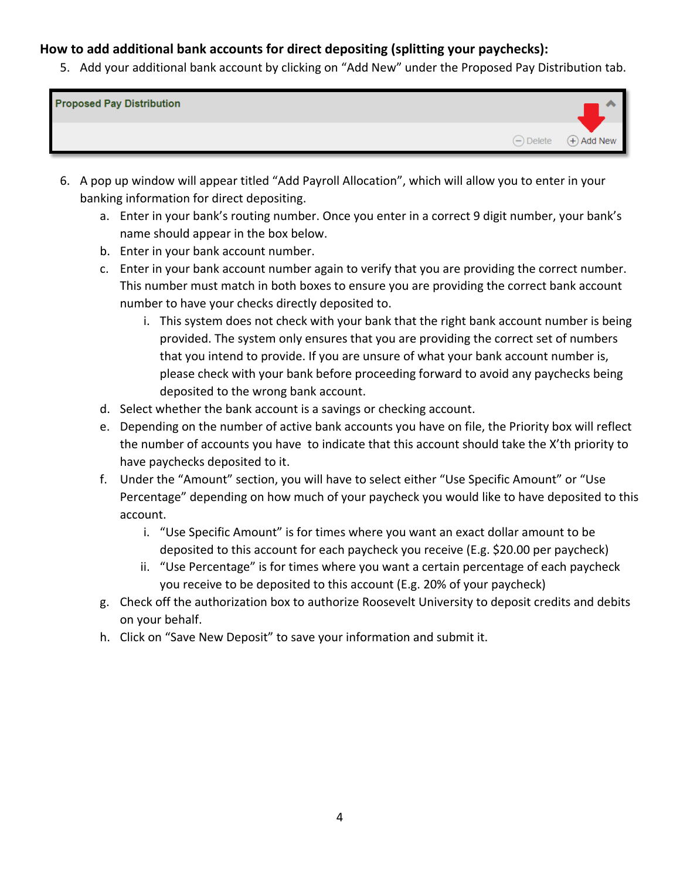## <span id="page-3-0"></span>**How to add additional bank accounts for direct depositing (splitting your paychecks):**

5. Add your additional bank account by clicking on "Add New" under the Proposed Pay Distribution tab.

| <b>Proposed Pay Distribution</b> |               |
|----------------------------------|---------------|
| $\ominus$ Delete                 | $(+)$ Add New |

- 6. A pop up window will appear titled "Add Payroll Allocation", which will allow you to enter in your banking information for direct depositing.
	- a. Enter in your bank's routing number. Once you enter in a correct 9 digit number, your bank's name should appear in the box below.
	- b. Enter in your bank account number.
	- c. Enter in your bank account number again to verify that you are providing the correct number. This number must match in both boxes to ensure you are providing the correct bank account number to have your checks directly deposited to.
		- i. This system does not check with your bank that the right bank account number is being provided. The system only ensures that you are providing the correct set of numbers that you intend to provide. If you are unsure of what your bank account number is, please check with your bank before proceeding forward to avoid any paychecks being deposited to the wrong bank account.
	- d. Select whether the bank account is a savings or checking account.
	- e. Depending on the number of active bank accounts you have on file, the Priority box will reflect the number of accounts you have to indicate that this account should take the X'th priority to have paychecks deposited to it.
	- f. Under the "Amount" section, you will have to select either "Use Specific Amount" or "Use Percentage" depending on how much of your paycheck you would like to have deposited to this account.
		- i. "Use Specific Amount" is for times where you want an exact dollar amount to be deposited to this account for each paycheck you receive (E.g. \$20.00 per paycheck)
		- ii. "Use Percentage" is for times where you want a certain percentage of each paycheck you receive to be deposited to this account (E.g. 20% of your paycheck)
	- g. Check off the authorization box to authorize Roosevelt University to deposit credits and debits on your behalf.
	- h. Click on "Save New Deposit" to save your information and submit it.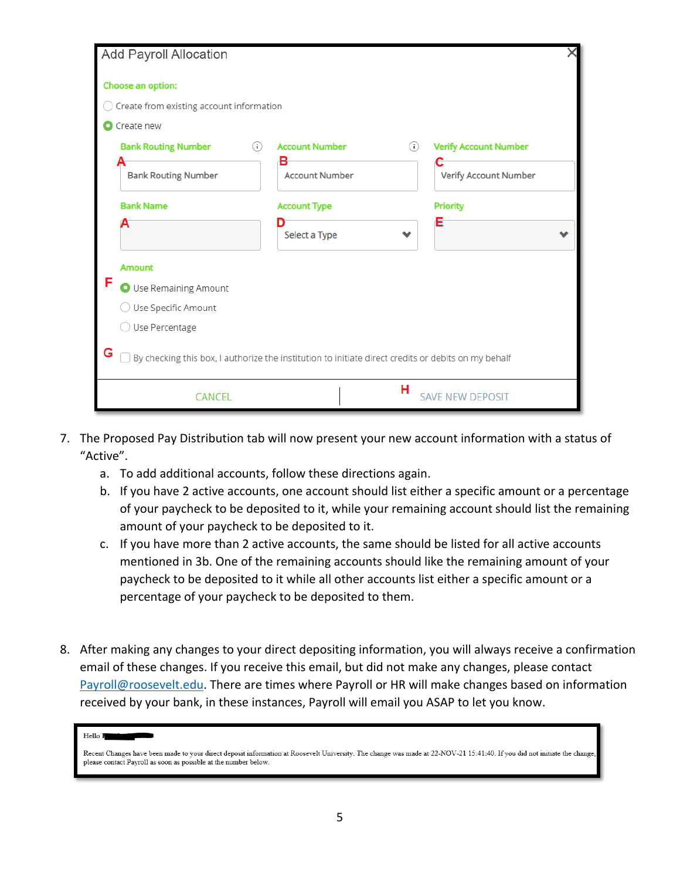| <b>Add Payroll Allocation</b>                                                                            |                              |                              |  |  |
|----------------------------------------------------------------------------------------------------------|------------------------------|------------------------------|--|--|
| Choose an option:                                                                                        |                              |                              |  |  |
| Create from existing account information                                                                 |                              |                              |  |  |
| Create new                                                                                               |                              |                              |  |  |
| (i)<br><b>Bank Routing Number</b>                                                                        | <b>Account Number</b><br>(i) | <b>Verify Account Number</b> |  |  |
| <b>Bank Routing Number</b>                                                                               | в<br><b>Account Number</b>   | Verify Account Number        |  |  |
| <b>Bank Name</b>                                                                                         | <b>Account Type</b>          | <b>Priority</b>              |  |  |
| А                                                                                                        | Select a Type                | Ε                            |  |  |
| <b>Amount</b>                                                                                            |                              |                              |  |  |
| F<br>O Use Remaining Amount                                                                              |                              |                              |  |  |
| ◯ Use Specific Amount                                                                                    |                              |                              |  |  |
| ○ Use Percentage                                                                                         |                              |                              |  |  |
| G<br>By checking this box, I authorize the institution to initiate direct credits or debits on my behalf |                              |                              |  |  |
| <b>CANCEL</b>                                                                                            | н                            | <b>SAVE NEW DEPOSIT</b>      |  |  |

- 7. The Proposed Pay Distribution tab will now present your new account information with a status of "Active".
	- a. To add additional accounts, follow these directions again.
	- b. If you have 2 active accounts, one account should list either a specific amount or a percentage of your paycheck to be deposited to it, while your remaining account should list the remaining amount of your paycheck to be deposited to it.
	- c. If you have more than 2 active accounts, the same should be listed for all active accounts mentioned in 3b. One of the remaining accounts should like the remaining amount of your paycheck to be deposited to it while all other accounts list either a specific amount or a percentage of your paycheck to be deposited to them.
- 8. After making any changes to your direct depositing information, you will always receive a confirmation email of these changes. If you receive this email, but did not make any changes, please contact [Payroll@roosevelt.edu.](mailto:Payroll@roosevelt.edu) There are times where Payroll or HR will make changes based on information received by your bank, in these instances, Payroll will email you ASAP to let you know.

Hello I

Recent Changes have been made to your direct deposit information at Roosevelt University. The change was made at 22-NOV-21 15:41:40. If you did not initiate the change, please contact Payroll as soon as possible at the number below